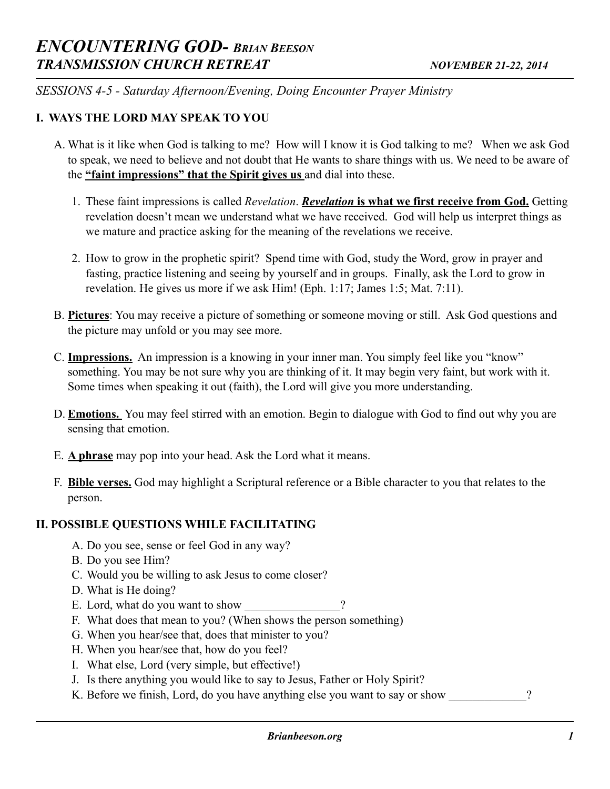*SESSIONS 4-5 - Saturday Afternoon/Evening, Doing Encounter Prayer Ministry* 

## **I. WAYS THE LORD MAY SPEAK TO YOU**

- A. What is it like when God is talking to me? How will I know it is God talking to me? When we ask God to speak, we need to believe and not doubt that He wants to share things with us. We need to be aware of the **"faint impressions" that the Spirit gives us** and dial into these.
	- 1. These faint impressions is called *Revelation*. *Revelation* **is what we first receive from God.** Getting revelation doesn't mean we understand what we have received. God will help us interpret things as we mature and practice asking for the meaning of the revelations we receive.
	- 2. How to grow in the prophetic spirit? Spend time with God, study the Word, grow in prayer and fasting, practice listening and seeing by yourself and in groups. Finally, ask the Lord to grow in revelation. He gives us more if we ask Him! (Eph. 1:17; James 1:5; Mat. 7:11).
- B. **Pictures**: You may receive a picture of something or someone moving or still. Ask God questions and the picture may unfold or you may see more.
- C. **Impressions.** An impression is a knowing in your inner man. You simply feel like you "know" something. You may be not sure why you are thinking of it. It may begin very faint, but work with it. Some times when speaking it out (faith), the Lord will give you more understanding.
- D. **Emotions.** You may feel stirred with an emotion. Begin to dialogue with God to find out why you are sensing that emotion.
- E. **A phrase** may pop into your head. Ask the Lord what it means.
- F. **Bible verses.** God may highlight a Scriptural reference or a Bible character to you that relates to the person.

## **II. POSSIBLE QUESTIONS WHILE FACILITATING**

- A. Do you see, sense or feel God in any way?
- B. Do you see Him?
- C. Would you be willing to ask Jesus to come closer?
- D. What is He doing?
- E. Lord, what do you want to show
- F. What does that mean to you? (When shows the person something)
- G. When you hear/see that, does that minister to you?
- H. When you hear/see that, how do you feel?
- I. What else, Lord (very simple, but effective!)
- J. Is there anything you would like to say to Jesus, Father or Holy Spirit?
- K. Before we finish, Lord, do you have anything else you want to say or show  $\gamma$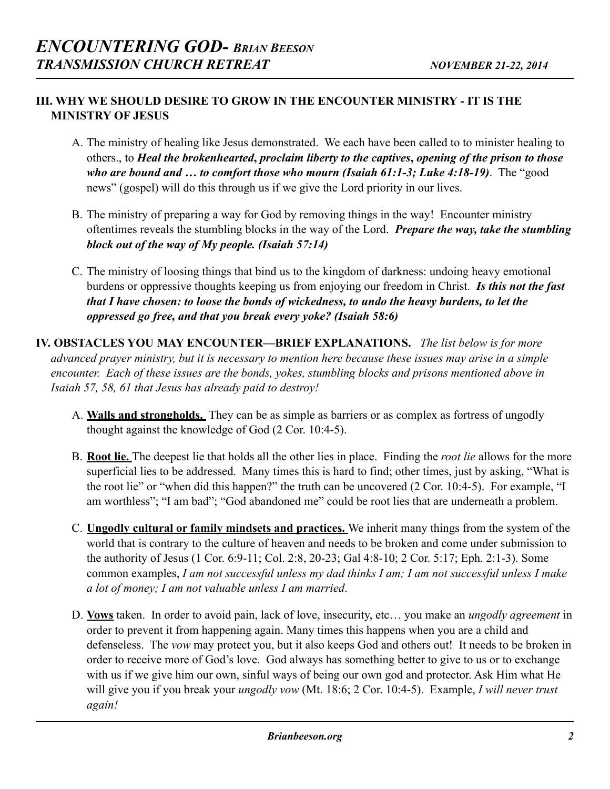## **III. WHY WE SHOULD DESIRE TO GROW IN THE ENCOUNTER MINISTRY - IT IS THE MINISTRY OF JESUS**

- A. The ministry of healing like Jesus demonstrated. We each have been called to to minister healing to others., to *Heal the brokenhearted***,** *proclaim liberty to the captives***,** *opening of the prison to those who are bound and … to comfort those who mourn (Isaiah 61:1-3; Luke 4:18-19)*. The "good news" (gospel) will do this through us if we give the Lord priority in our lives.
- B. The ministry of preparing a way for God by removing things in the way! Encounter ministry oftentimes reveals the stumbling blocks in the way of the Lord. *Prepare the way, take the stumbling block out of the way of My people. (Isaiah 57:14)*
- C. The ministry of loosing things that bind us to the kingdom of darkness: undoing heavy emotional burdens or oppressive thoughts keeping us from enjoying our freedom in Christ. *Is this not the fast that I have chosen: to loose the bonds of wickedness, to undo the heavy burdens, to let the oppressed go free, and that you break every yoke? (Isaiah 58:6)*
- **IV. OBSTACLES YOU MAY ENCOUNTER—BRIEF EXPLANATIONS.** *The list below is for more advanced prayer ministry, but it is necessary to mention here because these issues may arise in a simple encounter. Each of these issues are the bonds, yokes, stumbling blocks and prisons mentioned above in Isaiah 57, 58, 61 that Jesus has already paid to destroy!* 
	- A. **Walls and strongholds.** They can be as simple as barriers or as complex as fortress of ungodly thought against the knowledge of God (2 Cor. 10:4-5).
	- B. **Root lie.** The deepest lie that holds all the other lies in place. Finding the *root lie* allows for the more superficial lies to be addressed. Many times this is hard to find; other times, just by asking, "What is the root lie" or "when did this happen?" the truth can be uncovered (2 Cor. 10:4-5). For example, "I am worthless"; "I am bad"; "God abandoned me" could be root lies that are underneath a problem.
	- C. **Ungodly cultural or family mindsets and practices.** We inherit many things from the system of the world that is contrary to the culture of heaven and needs to be broken and come under submission to the authority of Jesus (1 Cor. 6:9-11; Col. 2:8, 20-23; Gal 4:8-10; 2 Cor. 5:17; Eph. 2:1-3). Some common examples, *I am not successful unless my dad thinks I am; I am not successful unless I make a lot of money; I am not valuable unless I am married*.
	- D. **Vows** taken. In order to avoid pain, lack of love, insecurity, etc… you make an *ungodly agreement* in order to prevent it from happening again. Many times this happens when you are a child and defenseless. The *vow* may protect you, but it also keeps God and others out! It needs to be broken in order to receive more of God's love. God always has something better to give to us or to exchange with us if we give him our own, sinful ways of being our own god and protector. Ask Him what He will give you if you break your *ungodly vow* (Mt. 18:6; 2 Cor. 10:4-5). Example, *I will never trust again!*